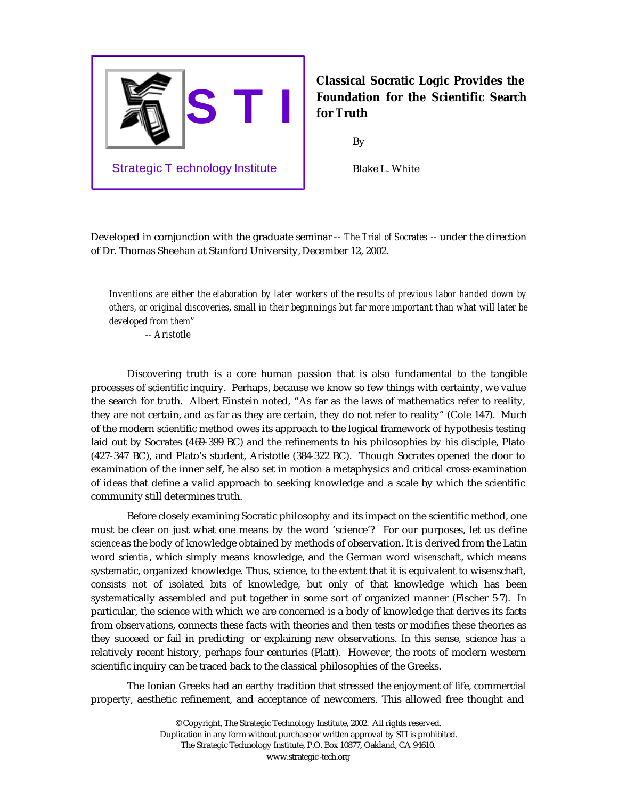

## **Classical Socratic Logic Provides the Foundation for the Scientific Search for Truth**

By

Blake L. White

Developed in comjunction with the graduate seminar -- *The Trial of Socrates --* under the direction of Dr. Thomas Sheehan at Stanford University, December 12, 2002.

*Inventions are either the elaboration by later workers of the results of previous labor handed down by others, or original discoveries, small in their beginnings but far more important than what will later be developed from them"*

*-- Aristotle*

Discovering truth is a core human passion that is also fundamental to the tangible processes of scientific inquiry. Perhaps, because we know so few things with certainty, we value the search for truth. Albert Einstein noted, "As far as the laws of mathematics refer to reality, they are not certain, and as far as they are certain, they do not refer to reality" (Cole 147). Much of the modern scientific method owes its approach to the logical framework of hypothesis testing laid out by Socrates (469-399 BC) and the refinements to his philosophies by his disciple, Plato (427-347 BC), and Plato's student, Aristotle (384-322 BC). Though Socrates opened the door to examination of the inner self, he also set in motion a metaphysics and critical cross-examination of ideas that define a valid approach to seeking knowledge and a scale by which the scientific community still determines truth.

Before closely examining Socratic philosophy and its impact on the scientific method, one must be clear on just what one means by the word 'science'?For our purposes, let us define *science* as the body of knowledge obtained by methods of observation. It is derived from the Latin word *scientia* , which simply means knowledge, and the German word *wisenschaft*, which means systematic, organized knowledge. Thus, science, to the extent that it is equivalent to wisenschaft, consists not of isolated bits of knowledge, but only of that knowledge which has been systematically assembled and put together in some sort of organized manner (Fischer 5-7). In particular, the science with which we are concerned is a body of knowledge that derives its facts from observations, connects these facts with theories and then tests or modifies these theories as they succeed or fail in predicting or explaining new observations. In this sense, science has a relatively recent history, perhaps four centuries (Platt). However, the roots of modern western scientific inquiry can be traced back to the classical philosophies of the Greeks.

The Ionian Greeks had an earthy tradition that stressed the enjoyment of life, commercial property, aesthetic refinement, and acceptance of newcomers. This allowed free thought and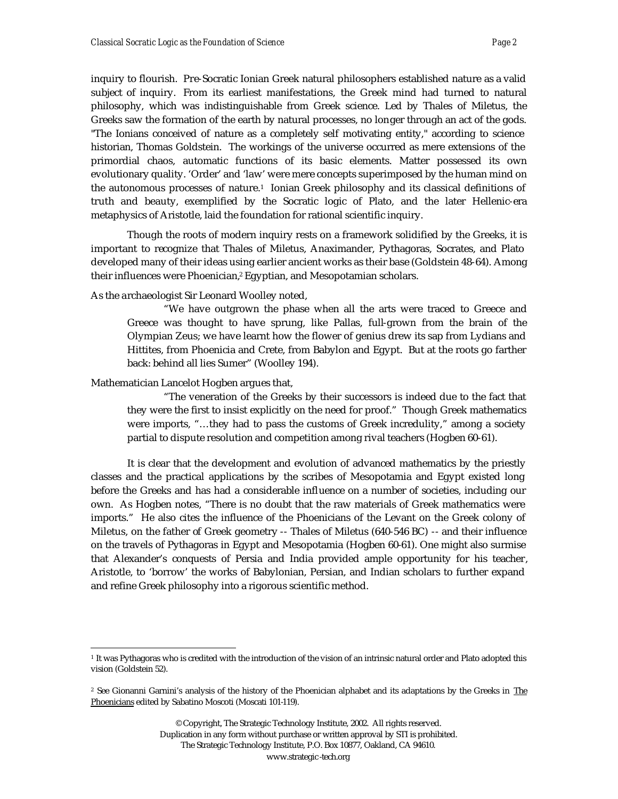inquiry to flourish. Pre-Socratic Ionian Greek natural philosophers established nature as a valid subject of inquiry. From its earliest manifestations, the Greek mind had turned to natural philosophy, which was indistinguishable from Greek science. Led by Thales of Miletus, the Greeks saw the formation of the earth by natural processes, no longer through an act of the gods. "The Ionians conceived of nature as a completely self motivating entity," according to science historian, Thomas Goldstein. The workings of the universe occurred as mere extensions of the primordial chaos, automatic functions of its basic elements. Matter possessed its own evolutionary quality. 'Order' and 'law' were mere concepts superimposed by the human mind on the autonomous processes of nature.<sup>1</sup> Ionian Greek philosophy and its classical definitions of truth and beauty, exemplified by the Socratic logic of Plato, and the later Hellenic-era metaphysics of Aristotle, laid the foundation for rational scientific inquiry.

Though the roots of modern inquiry rests on a framework solidified by the Greeks, it is important to recognize that Thales of Miletus, Anaximander, Pythagoras, Socrates, and Plato developed many of their ideas using earlier ancient works as their base (Goldstein 48-64). Among their influences were Phoenician,<sup>2</sup> Egyptian, and Mesopotamian scholars.

As the archaeologist Sir Leonard Woolley noted,

"We have outgrown the phase when all the arts were traced to Greece and Greece was thought to have sprung, like Pallas, full-grown from the brain of the Olympian Zeus; we have learnt how the flower of genius drew its sap from Lydians and Hittites, from Phoenicia and Crete, from Babylon and Egypt. But at the roots go farther back: behind all lies Sumer" (Woolley 194).

Mathematician Lancelot Hogben argues that,

 $\overline{a}$ 

"The veneration of the Greeks by their successors is indeed due to the fact that they were the first to insist explicitly on the need for proof." Though Greek mathematics were imports, "…they had to pass the customs of Greek incredulity," among a society partial to dispute resolution and competition among rival teachers (Hogben 60-61).

It is clear that the development and evolution of advanced mathematics by the priestly classes and the practical applications by the scribes of Mesopotamia and Egypt existed long before the Greeks and has had a considerable influence on a number of societies, including our own. As Hogben notes, "There is no doubt that the raw materials of Greek mathematics were imports." He also cites the influence of the Phoenicians of the Levant on the Greek colony of Miletus, on the father of Greek geometry -- Thales of Miletus (640-546 BC) -- and their influence on the travels of Pythagoras in Egypt and Mesopotamia (Hogben 60-61). One might also surmise that Alexander's conquests of Persia and India provided ample opportunity for his teacher, Aristotle, to 'borrow' the works of Babylonian, Persian, and Indian scholars to further expand and refine Greek philosophy into a rigorous scientific method.

<sup>1</sup> It was Pythagoras who is credited with the introduction of the vision of an intrinsic natural order and Plato adopted this vision (Goldstein 52).

<sup>&</sup>lt;sup>2</sup> See Gionanni Garnini's analysis of the history of the Phoenician alphabet and its adaptations by the Greeks in The Phoenicians edited by Sabatino Moscoti (Moscati 101-119).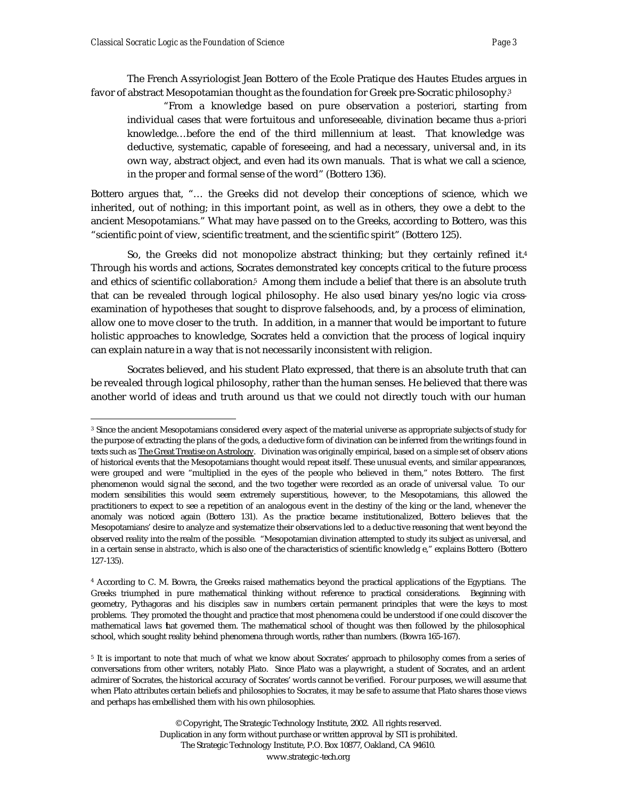The French Assyriologist Jean Bottero of the Ecole Pratique des Hautes Etudes argues in favor of abstract Mesopotamian thought as the foundation for Greek pre-Socratic philosophy.<sup>3</sup>

"From a knowledge based on pure observation *a posteriori*, starting from individual cases that were fortuitous and unforeseeable, divination became thus *a-priori* knowledge…before the end of the third millennium at least. That knowledge was deductive, systematic, capable of foreseeing, and had a necessary, universal and, in its own way, abstract object, and even had its own manuals. That is what we call a science, in the proper and formal sense of the word" (Bottero 136).

Bottero argues that, "… the Greeks did not develop their conceptions of science, which we inherited, out of nothing; in this important point, as well as in others, they owe a debt to the ancient Mesopotamians." What may have passed on to the Greeks, according to Bottero, was this "scientific point of view, scientific treatment, and the scientific spirit" (Bottero 125).

So, the Greeks did not monopolize abstract thinking; but they certainly refined it.<sup>4</sup> Through his words and actions, Socrates demonstrated key concepts critical to the future process and ethics of scientific collaboration.<sup>5</sup> Among them include a belief that there is an absolute truth that can be revealed through logical philosophy. He also used binary yes/no logic via crossexamination of hypotheses that sought to disprove falsehoods, and, by a process of elimination, allow one to move closer to the truth. In addition, in a manner that would be important to future holistic approaches to knowledge, Socrates held a conviction that the process of logical inquiry can explain nature in a way that is not necessarily inconsistent with religion.

Socrates believed, and his student Plato expressed, that there is an absolute truth that can be revealed through logical philosophy, rather than the human senses. He believed that there was another world of ideas and truth around us that we could not directly touch with our human

<sup>3</sup> Since the ancient Mesopotamians considered every aspect of the material universe as appropriate subjects of study for the purpose of extracting the plans of the gods, a deductive form of divination can be inferred from the writings found in texts such as The Great Treatise on Astrology. Divination was originally empirical, based on a simple set of observ ations of historical events that the Mesopotamians thought would repeat itself. These unusual events, and similar appearances, were grouped and were "multiplied in the eyes of the people who believed in them," notes Bottero. The first phenomenon would sig nal the second, and the two together were recorded as an oracle of universal value. To our modern sensibilities this would seem extremely superstitious, however, to the Mesopotamians, this allowed the practitioners to expect to see a repetition of an analogous event in the destiny of the king or the land, whenever the anomaly was noticed again (Bottero 131). As the practice became institutionalized, Bottero believes that the Mesopotamians' desire to analyze and systematize their observations led to a deduc tive reasoning that went beyond the observed reality into the realm of the possible. "Mesopotamian divination attempted to study its subject as universal, and in a certain sense *in abstracto*, which is also one of the characteristics of scientific knowledg e," explains Bottero (Bottero 127-135).

<sup>4</sup> According to C. M. Bowra, the Greeks raised mathematics beyond the practical applications of the Egyptians. The Greeks triumphed in pure mathematical thinking without reference to practical considerations. Beginning with geometry, Pythagoras and his disciples saw in numbers certain permanent principles that were the keys to most problems. They promoted the thought and practice that most phenomena could be understood if one could discover the mathematical laws that governed them. The mathematical school of thought was then followed by the philosophical school, which sought reality behind phenomena through words, rather than numbers. (Bowra 165-167).

<sup>&</sup>lt;sup>5</sup> It is important to note that much of what we know about Socrates' approach to philosophy comes from a series of conversations from other writers, notably Plato. Since Plato was a playwright, a student of Socrates, and an ardent admirer of Socrates, the historical accuracy of Socrates' words cannot be verified. For our purposes, we will assume that when Plato attributes certain beliefs and philosophies to Socrates, it may be safe to assume that Plato shares those views and perhaps has embellished them with his own philosophies.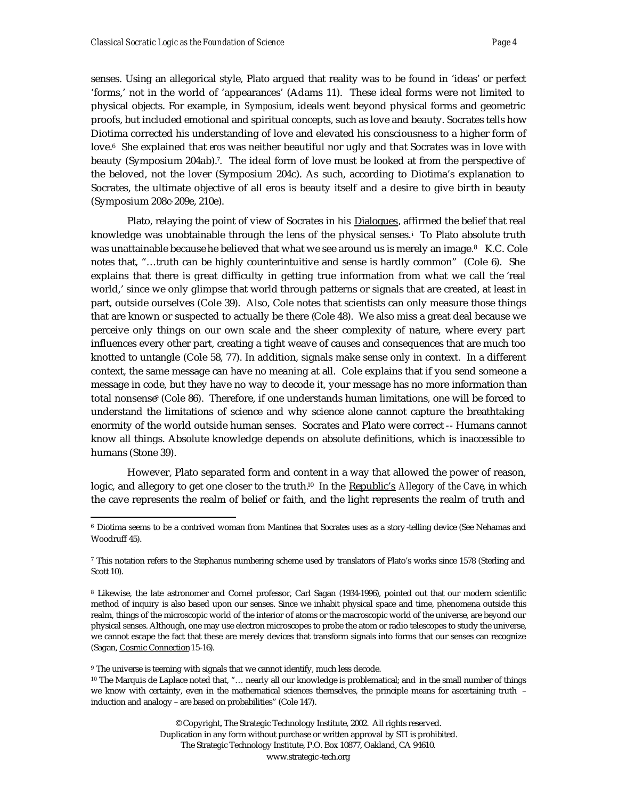senses. Using an allegorical style, Plato argued that reality was to be found in 'ideas' or perfect 'forms,' not in the world of 'appearances' (Adams 11). These ideal forms were not limited to physical objects. For example, in *Symposium*, ideals went beyond physical forms and geometric proofs, but included emotional and spiritual concepts, such as love and beauty. Socrates tells how Diotima corrected his understanding of love and elevated his consciousness to a higher form of love.6 She explained that *eros* was neither beautiful nor ugly and that Socrates was in love with beauty (Symposium 204ab).7. The ideal form of love must be looked at from the perspective of the beloved, not the lover (Symposium 204c). As such, according to Diotima's explanation to Socrates, the ultimate objective of all eros is beauty itself and a desire to give birth in beauty (Symposium 208c-209e, 210e).

Plato, relaying the point of view of Socrates in his Dialogues, affirmed the belief that real knowledge was unobtainable through the lens of the physical senses.<sup>i</sup> To Plato absolute truth was unattainable because he believed that what we see around us is merely an image.<sup>8</sup> K.C. Cole notes that, "…truth can be highly counterintuitive and sense is hardly common" (Cole 6). She explains that there is great difficulty in getting true information from what we call the 'real world,' since we only glimpse that world through patterns or signals that are created, at least in part, outside ourselves (Cole 39). Also, Cole notes that scientists can only measure those things that are known or suspected to actually be there (Cole 48). We also miss a great deal because we perceive only things on our own scale and the sheer complexity of nature, where every part influences every other part, creating a tight weave of causes and consequences that are much too knotted to untangle (Cole 58, 77). In addition, signals make sense only in context. In a different context, the same message can have no meaning at all. Cole explains that if you send someone a message in code, but they have no way to decode it, your message has no more information than total nonsense<sup>9</sup> (Cole 86). Therefore, if one understands human limitations, one will be forced to understand the limitations of science and why science alone cannot capture the breathtaking enormity of the world outside human senses. Socrates and Plato were correct -- Humans cannot know all things. Absolute knowledge depends on absolute definitions, which is inaccessible to humans (Stone 39).

However, Plato separated form and content in a way that allowed the power of reason, logic, and allegory to get one closer to the truth.<sup>10</sup> In the Republic's *Allegory of the Cave*, in which the cave represents the realm of belief or faith, and the light represents the realm of truth and

<sup>9</sup> The universe is teeming with signals that we cannot identify, much less decode.

 $\overline{a}$ 

<sup>6</sup> Diotima seems to be a contrived woman from Mantinea that Socrates uses as a story -telling device (See Nehamas and Woodruff 45).

<sup>7</sup> This notation refers to the Stephanus numbering scheme used by translators of Plato's works since 1578 (Sterling and Scott 10).

<sup>8</sup> Likewise, the late astronomer and Cornel professor, Carl Sagan (1934-1996), pointed out that our modern scientific method of inquiry is also based upon our senses. Since we inhabit physical space and time, phenomena outside this realm, things of the microscopic world of the interior of atoms or the macroscopic world of the universe, are beyond our physical senses. Although, one may use electron microscopes to probe the atom or radio telescopes to study the universe, we cannot escape the fact that these are merely devices that transform signals into forms that our senses can recognize (Sagan, Cosmic Connection 15-16).

<sup>10</sup> The Marquis de Laplace noted that, "… nearly all our knowledge is problematical; and in the small number of things we know with certainty, even in the mathematical sciences themselves, the principle means for ascertaining truth – induction and analogy – are based on probabilities" (Cole 147).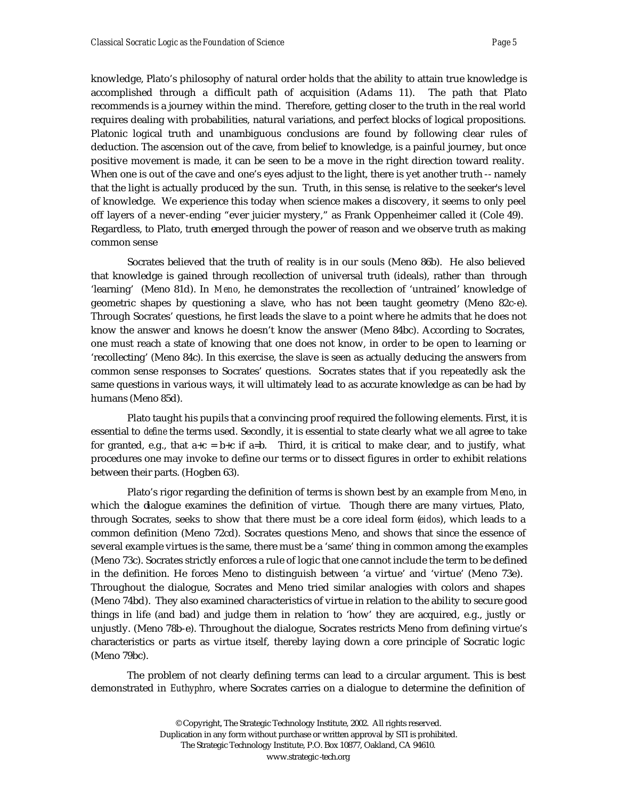knowledge, Plato's philosophy of natural order holds that the ability to attain true knowledge is accomplished through a difficult path of acquisition (Adams 11). The path that Plato recommends is a journey within the mind. Therefore, getting closer to the truth in the real world requires dealing with probabilities, natural variations, and perfect blocks of logical propositions. Platonic logical truth and unambiguous conclusions are found by following clear rules of deduction. The ascension out of the cave, from belief to knowledge, is a painful journey, but once positive movement is made, it can be seen to be a move in the right direction toward reality. When one is out of the cave and one's eyes adjust to the light, there is yet another truth -- namely that the light is actually produced by the sun. Truth, in this sense, is relative to the seeker's level of knowledge. We experience this today when science makes a discovery, it seems to only peel off layers of a never-ending "ever juicier mystery," as Frank Oppenheimer called it (Cole 49). Regardless, to Plato, truth emerged through the power of reason and we observe truth as making common sense

Socrates believed that the truth of reality is in our souls (Meno 86b). He also believed that knowledge is gained through recollection of universal truth (ideals), rather than through 'learning' (Meno 81d). In *Meno*, he demonstrates the recollection of 'untrained' knowledge of geometric shapes by questioning a slave, who has not been taught geometry (Meno 82c-e). Through Socrates' questions, he first leads the slave to a point where he admits that he does not know the answer and knows he doesn't know the answer (Meno 84bc). According to Socrates, one must reach a state of knowing that one does not know, in order to be open to learning or 'recollecting' (Meno 84c). In this exercise, the slave is seen as actually deducing the answers from common sense responses to Socrates' questions. Socrates states that if you repeatedly ask the same questions in various ways, it will ultimately lead to as accurate knowledge as can be had by humans (Meno 85d).

Plato taught his pupils that a convincing proof required the following elements. First, it is essential to *define* the terms used. Secondly, it is essential to state clearly what we all agree to take for granted, e.g., that  $a+c = b+c$  if  $a=b$ . Third, it is critical to make clear, and to justify, what procedures one may invoke to define our terms or to dissect figures in order to exhibit relations between their parts. (Hogben 63).

Plato's rigor regarding the definition of terms is shown best by an example from *Meno*, in which the dialogue examines the definition of virtue. Though there are many virtues, Plato, through Socrates, seeks to show that there must be a core ideal form (*eidos*), which leads to a common definition (Meno 72cd). Socrates questions Meno, and shows that since the essence of several example virtues is the same, there must be a 'same' thing in common among the examples (Meno 73c). Socrates strictly enforces a rule of logic that one cannot include the term to be defined in the definition. He forces Meno to distinguish between 'a virtue' and 'virtue' (Meno 73e). Throughout the dialogue, Socrates and Meno tried similar analogies with colors and shapes (Meno 74bd). They also examined characteristics of virtue in relation to the ability to secure good things in life (and bad) and judge them in relation to 'how' they are acquired, e.g., justly or unjustly. (Meno 78b-e). Throughout the dialogue, Socrates restricts Meno from defining virtue's characteristics or parts as virtue itself, thereby laying down a core principle of Socratic logic (Meno 79bc).

The problem of not clearly defining terms can lead to a circular argument. This is best demonstrated in *Euthyphro*, where Socrates carries on a dialogue to determine the definition of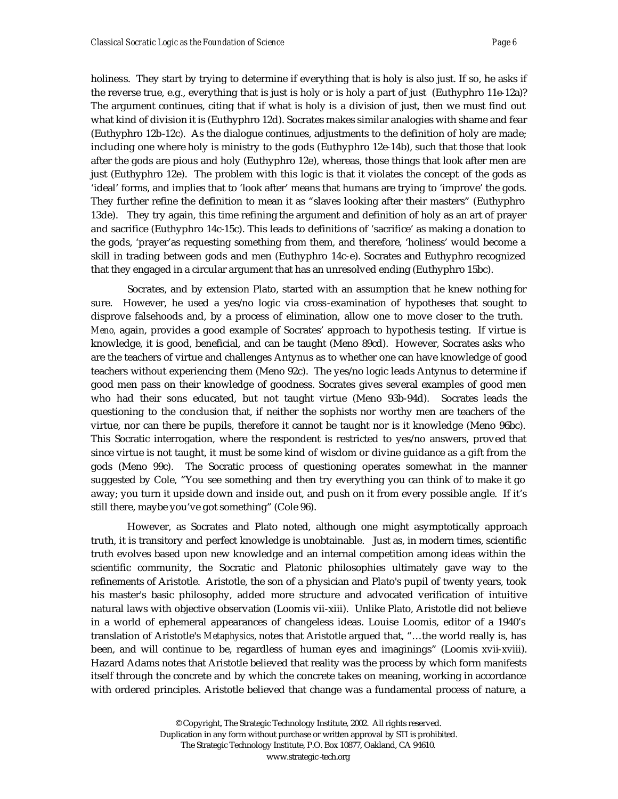holiness. They start by trying to determine if everything that is holy is also just. If so, he asks if the reverse true, e.g., everything that is just is holy or is holy a part of just (Euthyphro 11e-12a)? The argument continues, citing that if what is holy is a division of just, then we must find out what kind of division it is (Euthyphro 12d). Socrates makes similar analogies with shame and fear (Euthyphro 12b-12c). As the dialogue continues, adjustments to the definition of holy are made; including one where holy is ministry to the gods (Euthyphro 12e-14b), such that those that look after the gods are pious and holy (Euthyphro 12e), whereas, those things that look after men are just (Euthyphro 12e). The problem with this logic is that it violates the concept of the gods as 'ideal' forms, and implies that to 'look after' means that humans are trying to 'improve' the gods. They further refine the definition to mean it as "slaves looking after their masters" (Euthyphro 13de). They try again, this time refining the argument and definition of holy as an art of prayer and sacrifice (Euthyphro 14c-15c). This leads to definitions of 'sacrifice' as making a donation to the gods, 'prayer'as requesting something from them, and therefore, 'holiness' would become a skill in trading between gods and men (Euthyphro 14c-e). Socrates and Euthyphro recognized that they engaged in a circular argument that has an unresolved ending (Euthyphro 15bc).

Socrates, and by extension Plato, started with an assumption that he knew nothing for sure. However, he used a yes/no logic via cross-examination of hypotheses that sought to disprove falsehoods and, by a process of elimination, allow one to move closer to the truth. *Meno,* again, provides a good example of Socrates' approach to hypothesis testing. If virtue is knowledge, it is good, beneficial, and can be taught (Meno 89cd). However, Socrates asks who are the teachers of virtue and challenges Antynus as to whether one can have knowledge of good teachers without experiencing them (Meno 92c). The yes/no logic leads Antynus to determine if good men pass on their knowledge of goodness. Socrates gives several examples of good men who had their sons educated, but not taught virtue (Meno 93b-94d). Socrates leads the questioning to the conclusion that, if neither the sophists nor worthy men are teachers of the virtue, nor can there be pupils, therefore it cannot be taught nor is it knowledge (Meno 96bc). This Socratic interrogation, where the respondent is restricted to yes/no answers, proved that since virtue is not taught, it must be some kind of wisdom or divine guidance as a gift from the gods (Meno 99c). The Socratic process of questioning operates somewhat in the manner suggested by Cole, "You see something and then try everything you can think of to make it go away; you turn it upside down and inside out, and push on it from every possible angle. If it's still there, maybe you've got something" (Cole 96).

However, as Socrates and Plato noted, although one might asymptotically approach truth, it is transitory and perfect knowledge is unobtainable. Just as, in modern times, scientific truth evolves based upon new knowledge and an internal competition among ideas within the scientific community, the Socratic and Platonic philosophies ultimately gave way to the refinements of Aristotle. Aristotle, the son of a physician and Plato's pupil of twenty years, took his master's basic philosophy, added more structure and advocated verification of intuitive natural laws with objective observation (Loomis vii-xiii). Unlike Plato, Aristotle did not believe in a world of ephemeral appearances of changeless ideas. Louise Loomis, editor of a 1940's translation of Aristotle's *Metaphysics,* notes that Aristotle argued that, "…the world really is, has been, and will continue to be, regardless of human eyes and imaginings" (Loomis xvii-xviii). Hazard Adams notes that Aristotle believed that reality was the process by which form manifests itself through the concrete and by which the concrete takes on meaning, working in accordance with ordered principles. Aristotle believed that change was a fundamental process of nature, a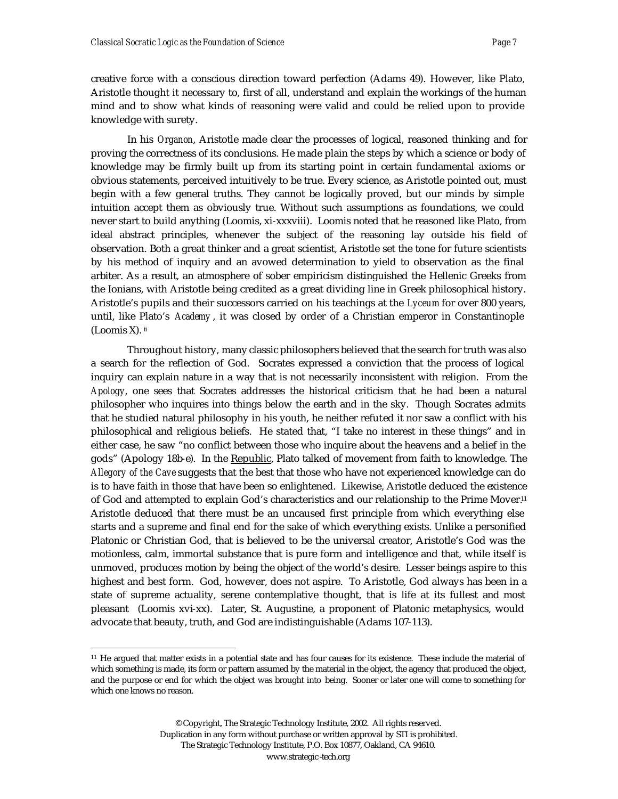creative force with a conscious direction toward perfection (Adams 49). However, like Plato, Aristotle thought it necessary to, first of all, understand and explain the workings of the human mind and to show what kinds of reasoning were valid and could be relied upon to provide knowledge with surety.

In his *Organon*, Aristotle made clear the processes of logical, reasoned thinking and for proving the correctness of its conclusions. He made plain the steps by which a science or body of knowledge may be firmly built up from its starting point in certain fundamental axioms or obvious statements, perceived intuitively to be true. Every science, as Aristotle pointed out, must begin with a few general truths. They cannot be logically proved, but our minds by simple intuition accept them as obviously true. Without such assumptions as foundations, we could never start to build anything (Loomis, xi-xxxviii). Loomis noted that he reasoned like Plato, from ideal abstract principles, whenever the subject of the reasoning lay outside his field of observation. Both a great thinker and a great scientist, Aristotle set the tone for future scientists by his method of inquiry and an avowed determination to yield to observation as the final arbiter. As a result, an atmosphere of sober empiricism distinguished the Hellenic Greeks from the Ionians, with Aristotle being credited as a great dividing line in Greek philosophical history. Aristotle's pupils and their successors carried on his teachings at the *Lyceum* for over 800 years, until, like Plato's *Academy* , it was closed by order of a Christian emperor in Constantinople (Loomis X). ii

Throughout history, many classic philosophers believed that the search for truth was also a search for the reflection of God. Socrates expressed a conviction that the process of logical inquiry can explain nature in a way that is not necessarily inconsistent with religion. From the *Apology*, one sees that Socrates addresses the historical criticism that he had been a natural philosopher who inquires into things below the earth and in the sky. Though Socrates admits that he studied natural philosophy in his youth, he neither refuted it nor saw a conflict with his philosophical and religious beliefs. He stated that, "I take no interest in these things" and in either case, he saw "no conflict between those who inquire about the heavens and a belief in the gods" (Apology 18b-e). In the Republic, Plato talked of movement from faith to knowledge. The *Allegory of the Cave* suggests that the best that those who have not experienced knowledge can do is to have faith in those that have been so enlightened. Likewise, Aristotle deduced the existence of God and attempted to explain God's characteristics and our relationship to the Prime Mover.<sup>11</sup> Aristotle deduced that there must be an uncaused first principle from which everything else starts and a supreme and final end for the sake of which everything exists. Unlike a personified Platonic or Christian God, that is believed to be the universal creator, Aristotle's God was the motionless, calm, immortal substance that is pure form and intelligence and that, while itself is unmoved, produces motion by being the object of the world's desire. Lesser beings aspire to this highest and best form. God, however, does not aspire. To Aristotle, God always has been in a state of supreme actuality, serene contemplative thought, that is life at its fullest and most pleasant (Loomis xvi-xx). Later, St. Augustine, a proponent of Platonic metaphysics, would advocate that beauty, truth, and God are indistinguishable (Adams 107-113).

<sup>&</sup>lt;sup>11</sup> He argued that matter exists in a potential state and has four causes for its existence. These include the material of which something is made, its form or pattern assumed by the material in the object, the agency that produced the object, and the purpose or end for which the object was brought into being. Sooner or later one will come to something for which one knows no reason.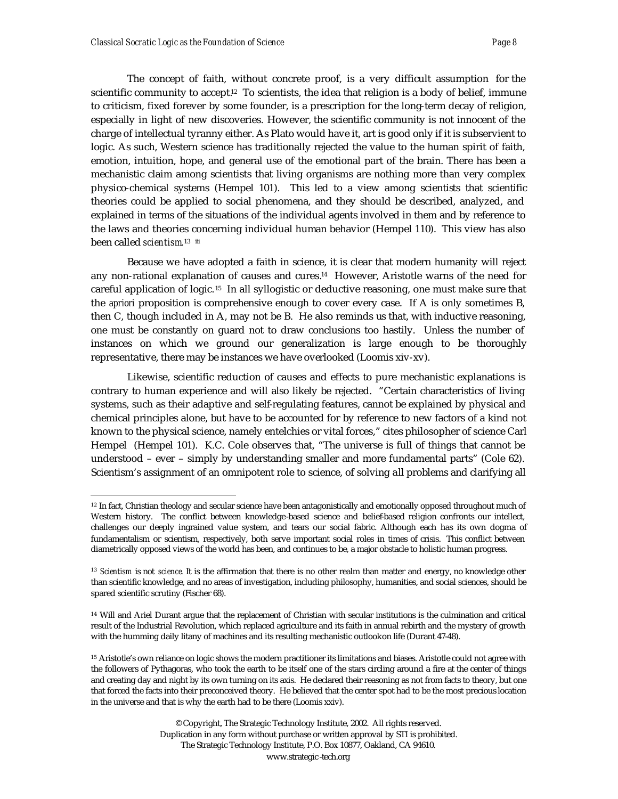The concept of faith, without concrete proof, is a very difficult assumption for the scientific community to accept.<sup>12</sup> To scientists, the idea that religion is a body of belief, immune to criticism, fixed forever by some founder, is a prescription for the long-term decay of religion, especially in light of new discoveries. However, the scientific community is not innocent of the charge of intellectual tyranny either. As Plato would have it, art is good only if it is subservient to logic. As such, Western science has traditionally rejected the value to the human spirit of faith, emotion, intuition, hope, and general use of the emotional part of the brain. There has been a mechanistic claim among scientists that living organisms are nothing more than very complex physico-chemical systems (Hempel 101). This led to a view among scientists that scientific theories could be applied to social phenomena, and they should be described, analyzed, and explained in terms of the situations of the individual agents involved in them and by reference to the laws and theories concerning individual human behavior (Hempel 110). This view has also been called *scientism* 13  $\,$  iii

Because we have adopted a faith in science, it is clear that modern humanity will reject any non-rational explanation of causes and cures.14 However, Aristotle warns of the need for careful application of logic. <sup>15</sup> In all syllogistic or deductive reasoning, one must make sure that the *apriori* proposition is comprehensive enough to cover every case. If A is only sometimes B, then C, though included in A, may not be B. He also reminds us that, with inductive reasoning, one must be constantly on guard not to draw conclusions too hastily. Unless the number of instances on which we ground our generalization is large enough to be thoroughly representative, there may be instances we have overlooked (Loomis xiv-xv).

Likewise, scientific reduction of causes and effects to pure mechanistic explanations is contrary to human experience and will also likely be rejected. "Certain characteristics of living systems, such as their adaptive and self-regulating features, cannot be explained by physical and chemical principles alone, but have to be accounted for by reference to new factors of a kind not known to the physical science, namely entelchies or vital forces," cites philosopher of science Carl Hempel (Hempel 101). K.C. Cole observes that, "The universe is full of things that cannot be understood – ever – simply by understanding smaller and more fundamental parts" (Cole 62). Scientism's assignment of an omnipotent role to science, of solving all problems and clarifying all

 $12$  In fact, Christian theology and secular science have been antagonistically and emotionally opposed throughout much of Western history. The conflict between knowledge-based science and belief-based religion confronts our intellect, challenges our deeply ingrained value system, and tears our social fabric. Although each has its own dogma of fundamentalism or scientism, respectively, both serve important social roles in times of crisis. This conflict between diametrically opposed views of the world has been, and continues to be, a major obstacle to holistic human progress.

<sup>&</sup>lt;sup>13</sup> Scientism is not *science*. It is the affirmation that there is no other realm than matter and energy, no knowledge other than scientific knowledge, and no areas of investigation, including philosophy, humanities, and social sciences, should be spared scientific scrutiny (Fischer 68).

<sup>14</sup> Will and Ariel Durant argue that the replacement of Christian with secular institutions is the culmination and critical result of the Industrial Revolution, which replaced agriculture and its faith in annual rebirth and the mystery of growth with the humming daily litany of machines and its resulting mechanistic outlook on life (Durant 47-48).

<sup>&</sup>lt;sup>15</sup> Aristotle's own reliance on logic shows the modern practitioner its limitations and biases. Aristotle could not agree with the followers of Pythagoras, who took the earth to be itself one of the stars circling around a fire at the center of things and creating day and night by its own turning on its axis. He declared their reasoning as not from facts to theory, but one that forced the facts into their preconceived theory. He believed that the center spot had to be the most precious location in the universe and that is why the earth had to be there (Loomis xxiv).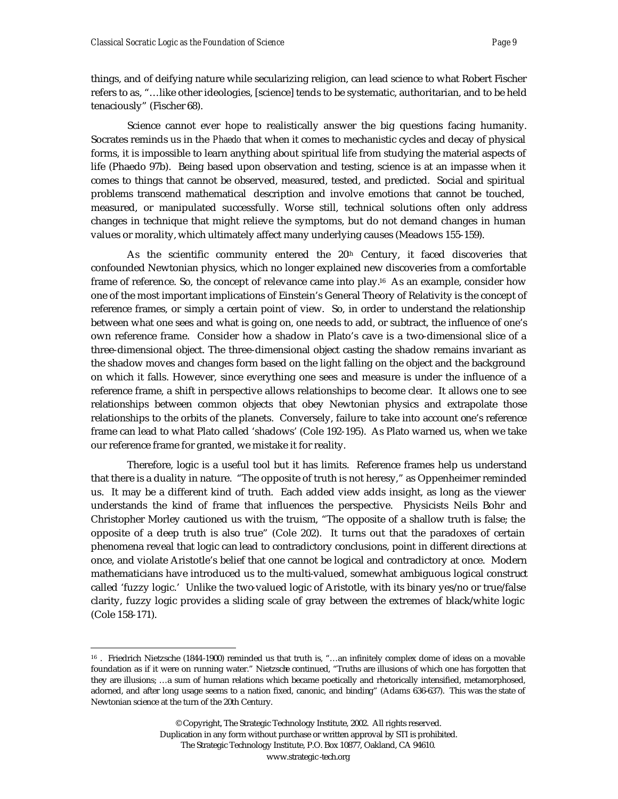things, and of deifying nature while secularizing religion, can lead science to what Robert Fischer refers to as, "…like other ideologies, [science] tends to be systematic, authoritarian, and to be held tenaciously" (Fischer 68).

Science cannot ever hope to realistically answer the big questions facing humanity. Socrates reminds us in the *Phaedo* that when it comes to mechanistic cycles and decay of physical forms, it is impossible to learn anything about spiritual life from studying the material aspects of life (Phaedo 97b). Being based upon observation and testing, science is at an impasse when it comes to things that cannot be observed, measured, tested, and predicted. Social and spiritual problems transcend mathematical description and involve emotions that cannot be touched, measured, or manipulated successfully. Worse still, technical solutions often only address changes in technique that might relieve the symptoms, but do not demand changes in human values or morality, which ultimately affect many underlying causes (Meadows 155-159).

As the scientific community entered the 20<sup>th</sup> Century, it faced discoveries that confounded Newtonian physics, which no longer explained new discoveries from a comfortable frame of reference. So, the concept of relevance came into play.16 As an example, consider how one of the most important implications of Einstein's General Theory of Relativity is the concept of reference frames, or simply a certain point of view. So, in order to understand the relationship between what one sees and what is going on, one needs to add, or subtract, the influence of one's own reference frame. Consider how a shadow in Plato's cave is a two-dimensional slice of a three-dimensional object. The three-dimensional object casting the shadow remains invariant as the shadow moves and changes form based on the light falling on the object and the background on which it falls. However, since everything one sees and measure is under the influence of a reference frame, a shift in perspective allows relationships to become clear. It allows one to see relationships between common objects that obey Newtonian physics and extrapolate those relationships to the orbits of the planets. Conversely, failure to take into account one's reference frame can lead to what Plato called 'shadows' (Cole 192-195). As Plato warned us, when we take our reference frame for granted, we mistake it for reality.

Therefore, logic is a useful tool but it has limits. Reference frames help us understand that there is a duality in nature. "The opposite of truth is not heresy," as Oppenheimer reminded us. It may be a different kind of truth. Each added view adds insight, as long as the viewer understands the kind of frame that influences the perspective. Physicists Neils Bohr and Christopher Morley cautioned us with the truism, "The opposite of a shallow truth is false; the opposite of a deep truth is also true" (Cole 202). It turns out that the paradoxes of certain phenomena reveal that logic can lead to contradictory conclusions, point in different directions at once, and violate Aristotle's belief that one cannot be logical and contradictory at once. Modern mathematicians have introduced us to the multi-valued, somewhat ambiguous logical construct called 'fuzzy logic.' Unlike the two-valued logic of Aristotle, with its binary yes/no or true/false clarity, fuzzy logic provides a sliding scale of gray between the extremes of black/white logic (Cole 158-171).

<sup>&</sup>lt;sup>16</sup> . Friedrich Nietzsche (1844-1900) reminded us that truth is, "...an infinitely complex dome of ideas on a movable foundation as if it were on running water." Nietzsche continued, "Truths are illusions of which one has forgotten that they are illusions; …a sum of human relations which became poetically and rhetorically intensified, metamorphosed, adorned, and after long usage seems to a nation fixed, canonic, and binding" (Adams 636-637). This was the state of Newtonian science at the turn of the 20th Century.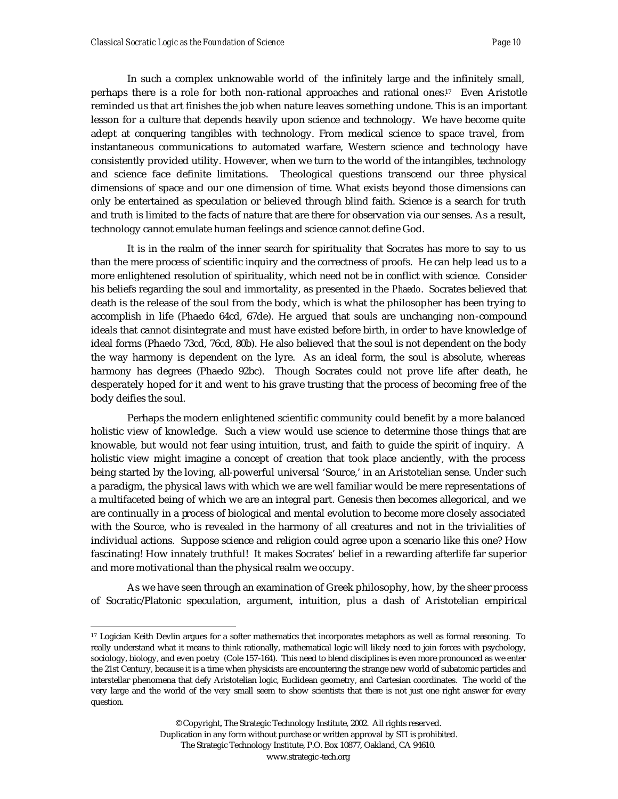In such a complex unknowable world of the infinitely large and the infinitely small, perhaps there is a role for both non-rational approaches and rational ones.17 Even Aristotle reminded us that art finishes the job when nature leaves something undone. This is an important lesson for a culture that depends heavily upon science and technology. We have become quite adept at conquering tangibles with technology. From medical science to space travel, from instantaneous communications to automated warfare, Western science and technology have consistently provided utility. However, when we turn to the world of the intangibles, technology and science face definite limitations. Theological questions transcend our three physical dimensions of space and our one dimension of time. What exists beyond those dimensions can only be entertained as speculation or believed through blind faith. Science is a search for truth and truth is limited to the facts of nature that are there for observation via our senses. As a result, technology cannot emulate human feelings and science cannot define God.

It is in the realm of the inner search for spirituality that Socrates has more to say to us than the mere process of scientific inquiry and the correctness of proofs. He can help lead us to a more enlightened resolution of spirituality, which need not be in conflict with science. Consider his beliefs regarding the soul and immortality, as presented in the *Phaedo*. Socrates believed that death is the release of the soul from the body, which is what the philosopher has been trying to accomplish in life (Phaedo 64cd, 67de). He argued that souls are unchanging non-compound ideals that cannot disintegrate and must have existed before birth, in order to have knowledge of ideal forms (Phaedo 73cd, 76cd, 80b). He also believed that the soul is not dependent on the body the way harmony is dependent on the lyre. As an ideal form, the soul is absolute, whereas harmony has degrees (Phaedo 92bc). Though Socrates could not prove life after death, he desperately hoped for it and went to his grave trusting that the process of becoming free of the body deifies the soul.

Perhaps the modern enlightened scientific community could benefit by a more balanced holistic view of knowledge. Such a view would use science to determine those things that are knowable, but would not fear using intuition, trust, and faith to guide the spirit of inquiry. A holistic view might imagine a concept of creation that took place anciently, with the process being started by the loving, all-powerful universal 'Source,' in an Aristotelian sense. Under such a paradigm, the physical laws with which we are well familiar would be mere representations of a multifaceted being of which we are an integral part. Genesis then becomes allegorical, and we are continually in a process of biological and mental evolution to become more closely associated with the Source, who is revealed in the harmony of all creatures and not in the trivialities of individual actions. Suppose science and religion could agree upon a scenario like this one? How fascinating! How innately truthful! It makes Socrates' belief in a rewarding afterlife far superior and more motivational than the physical realm we occupy.

As we have seen through an examination of Greek philosophy, how, by the sheer process of Socratic/Platonic speculation, argument, intuition, plus a dash of Aristotelian empirical

<sup>17</sup> Logician Keith Devlin argues for a softer mathematics that incorporates metaphors as well as formal reasoning. To really understand what it means to think rationally, mathematical logic will likely need to join forces with psychology, sociology, biology, and even poetry (Cole 157-164). This need to blend disciplines is even more pronounced as we enter the 21st Century, because it is a time when physicists are encountering the strange new world of subatomic particles and interstellar phenomena that defy Aristotelian logic, Euclidean geometry, and Cartesian coordinates. The world of the very large and the world of the very small seem to show scientists that there is not just one right answer for every question.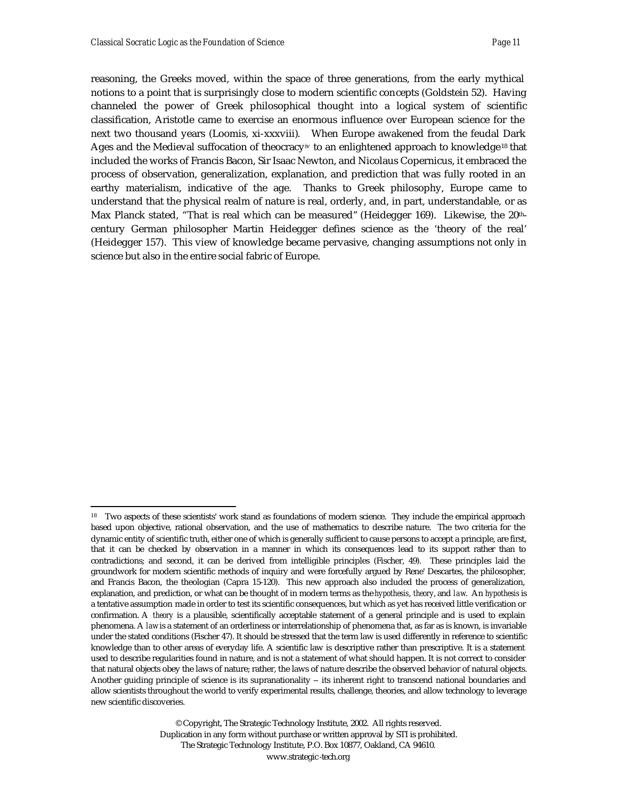reasoning, the Greeks moved, within the space of three generations, from the early mythical notions to a point that is surprisingly close to modern scientific concepts (Goldstein 52). Having channeled the power of Greek philosophical thought into a logical system of scientific classification, Aristotle came to exercise an enormous influence over European science for the next two thousand years (Loomis, xi-xxxviii). When Europe awakened from the feudal Dark Ages and the Medieval suffocation of theocracy<sup>iv</sup> to an enlightened approach to knowledge<sup>18</sup> that included the works of Francis Bacon, Sir Isaac Newton, and Nicolaus Copernicus, it embraced the process of observation, generalization, explanation, and prediction that was fully rooted in an earthy materialism, indicative of the age. Thanks to Greek philosophy, Europe came to understand that the physical realm of nature is real, orderly, and, in part, understandable, or as Max Planck stated, "That is real which can be measured" (Heidegger 169). Likewise, the 20thcentury German philosopher Martin Heidegger defines science as the 'theory of the real' (Heidegger 157). This view of knowledge became pervasive, changing assumptions not only in science but also in the entire social fabric of Europe.

<sup>&</sup>lt;sup>18</sup> Two aspects of these scientists' work stand as foundations of modern science. They include the empirical approach based upon objective, rational observation, and the use of mathematics to describe nature. The two criteria for the dynamic entity of scientific truth, either one of which is generally sufficient to cause persons to accept a principle, are first, that it can be checked by observation in a manner in which its consequences lead to its support rather than to contradictions; and second, it can be derived from intelligible principles (Fischer, 49). These principles laid the groundwork for modern scientific methods of inquiry and were forcefully argued by Rene' Descartes, the philosopher, and Francis Bacon, the theologian (Capra 15-120). This new approach also included the process of generalization, explanation, and prediction, or what can be thought of in modern terms as the *hypothesis*, *theory*, and *law*. An *hypothesis* is a tentative assumption made in order to test its scientific consequences, but which as yet has received little verification or confirmation. A *theory* is a plausible, scientifically acceptable statement of a general principle and is used to explain phenomena. A *law* is a statement of an orderliness or interrelationship of phenomena that, as far as is known, is invariable under the stated conditions (Fischer 47). It should be stressed that the term law is used differently in reference to scientific knowledge than to other areas of everyday life. A scientific law is descriptive rather than prescriptive. It is a statement used to describe regularities found in nature, and is not a statement of what should happen. It is not correct to consider that natural objects obey the laws of nature; rather, the laws of nature describe the observed behavior of natural objects. Another guiding principle of science is its supranationality  $-$  its inherent right to transcend national boundaries and allow scientists throughout the world to verify experimental results, challenge, theories, and allow technology to leverage new scientific discoveries.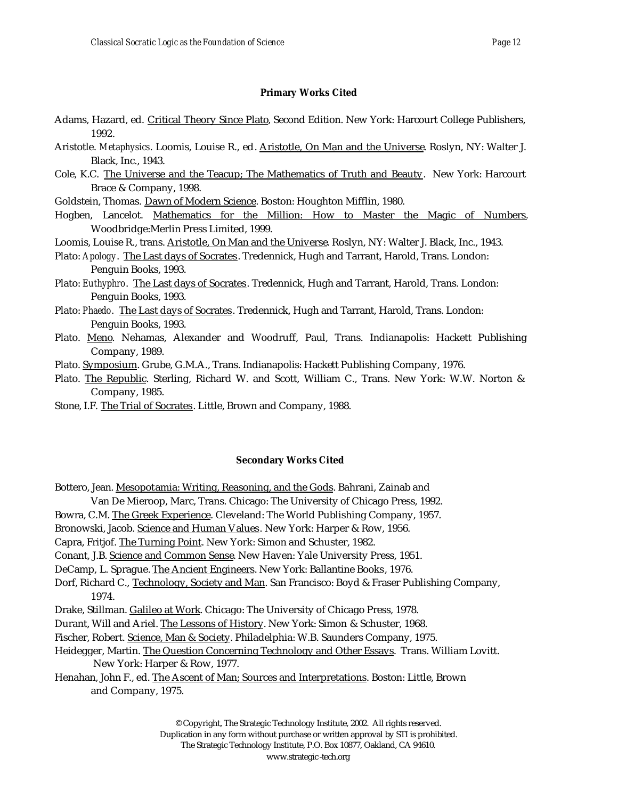## **Primary Works Cited**

- Adams, Hazard, ed. Critical Theory Since Plato, Second Edition. New York: Harcourt College Publishers, 1992.
- Aristotle. *Metaphysics*. Loomis, Louise R., ed. Aristotle, On Man and the Universe. Roslyn, NY: Walter J. Black, Inc., 1943.
- Cole, K.C. The Universe and the Teacup; The Mathematics of Truth and Beauty. New York: Harcourt Brace & Company, 1998.
- Goldstein, Thomas. Dawn of Modern Science. Boston: Houghton Mifflin, 1980.
- Hogben, Lancelot. Mathematics for the Million: How to Master the Magic of Numbers. Woodbridge:Merlin Press Limited, 1999.
- Loomis, Louise R., trans. Aristotle, On Man and the Universe. Roslyn, NY: Walter J. Black, Inc., 1943.
- Plato: *Apology*. The Last days of Socrates. Tredennick, Hugh and Tarrant, Harold, Trans. London: Penguin Books, 1993.
- Plato: *Euthyphro*. The Last days of Socrates. Tredennick, Hugh and Tarrant, Harold, Trans. London: Penguin Books, 1993.
- Plato: *Phaedo*. The Last days of Socrates. Tredennick, Hugh and Tarrant, Harold, Trans. London: Penguin Books, 1993.
- Plato. Meno. Nehamas, Alexander and Woodruff, Paul, Trans. Indianapolis: Hackett Publishing Company, 1989.
- Plato. Symposium. Grube, G.M.A., Trans. Indianapolis: Hackett Publishing Company, 1976.
- Plato. The Republic. Sterling, Richard W. and Scott, William C., Trans. New York: W.W. Norton & Company, 1985.
- Stone, I.F. The Trial of Socrates. Little, Brown and Company, 1988.

## **Secondary Works Cited**

- Bottero, Jean. Mesopotamia: Writing, Reasoning, and the Gods. Bahrani, Zainab and
- Van De Mieroop, Marc, Trans. Chicago: The University of Chicago Press, 1992.
- Bowra, C.M. The Greek Experience. Cleveland: The World Publishing Company, 1957.
- Bronowski, Jacob. Science and Human Values. New York: Harper & Row, 1956.
- Capra, Fritjof. The Turning Point. New York: Simon and Schuster, 1982.
- Conant, J.B. Science and Common Sense. New Haven: Yale University Press, 1951.
- DeCamp, L. Sprague. The Ancient Engineers. New York: Ballantine Books, 1976.
- Dorf, Richard C., Technology, Society and Man. San Francisco: Boyd & Fraser Publishing Company, 1974.
- Drake, Stillman. Galileo at Work. Chicago: The University of Chicago Press, 1978.
- Durant, Will and Ariel. The Lessons of History. New York: Simon & Schuster, 1968.
- Fischer, Robert. Science, Man & Society. Philadelphia: W.B. Saunders Company, 1975.
- Heidegger, Martin. The Question Concerning Technology and Other Essays. Trans. William Lovitt. New York: Harper & Row, 1977.
- Henahan, John F., ed. The Ascent of Man; Sources and Interpretations. Boston: Little, Brown and Company, 1975.

© Copyright, The Strategic Technology Institute, 2002. All rights reserved. Duplication in any form without purchase or written approval by STI is prohibited. The Strategic Technology Institute, P.O. Box 10877, Oakland, CA 94610.

www.strategic -tech.org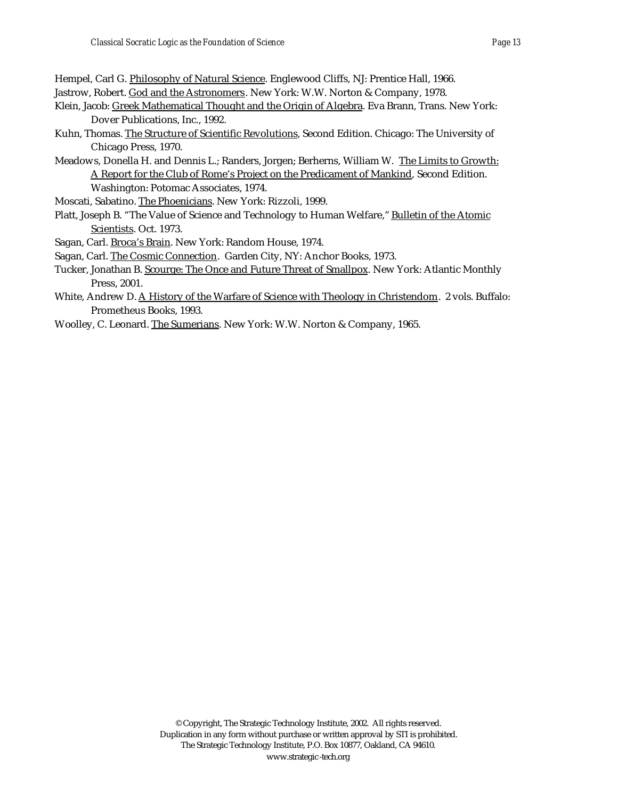Hempel, Carl G. Philosophy of Natural Science. Englewood Cliffs, NJ: Prentice Hall, 1966.

- Jastrow, Robert. God and the Astronomers. New York: W.W. Norton & Company, 1978.
- Klein, Jacob: Greek Mathematical Thought and the Origin of Algebra. Eva Brann, Trans. New York: Dover Publications, Inc., 1992.
- Kuhn, Thomas. The Structure of Scientific Revolutions, Second Edition. Chicago: The University of Chicago Press, 1970.
- Meadows, Donella H. and Dennis L.; Randers, Jorgen; Berherns, William W. The Limits to Growth: A Report for the Club of Rome's Project on the Predicament of Mankind, Second Edition. Washington: Potomac Associates, 1974.
- Moscati, Sabatino. The Phoenicians. New York: Rizzoli, 1999.
- Platt, Joseph B. "The Value of Science and Technology to Human Welfare," Bulletin of the Atomic Scientists. Oct. 1973.
- Sagan, Carl. Broca's Brain. New York: Random House, 1974.
- Sagan, Carl. The Cosmic Connection. Garden City, NY: Anchor Books, 1973.
- Tucker, Jonathan B. Scourge: The Once and Future Threat of Smallpox. New York: Atlantic Monthly Press, 2001.
- White, Andrew D. A History of the Warfare of Science with Theology in Christendom. 2 vols. Buffalo: Prometheus Books, 1993.
- Woolley, C. Leonard. The Sumerians. New York: W.W. Norton & Company, 1965.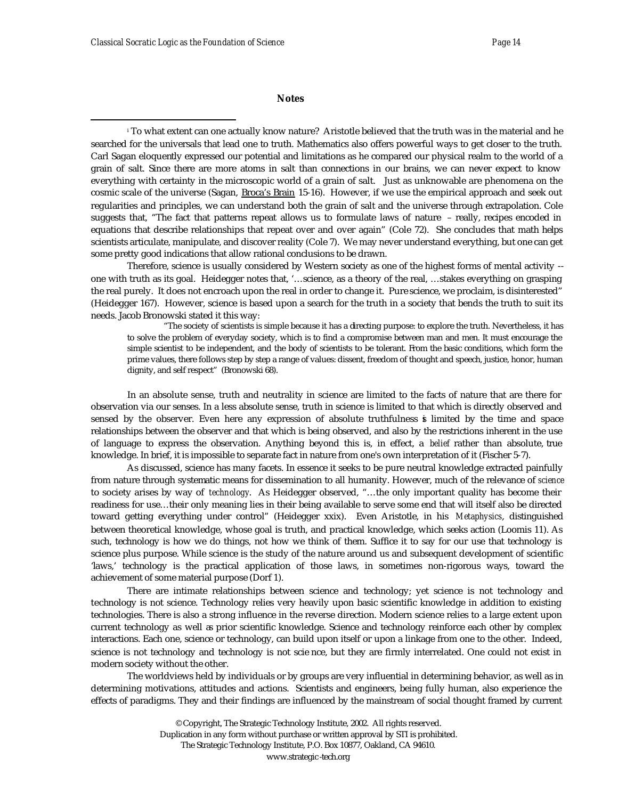## **Notes**

i To what extent can one actually know nature? Aristotle believed that the truth was in the material and he searched for the universals that lead one to truth. Mathematics also offers powerful ways to get closer to the truth. Carl Sagan eloquently expressed our potential and limitations as he compared our physical realm to the world of a grain of salt. Since there are more atoms in salt than connections in our brains, we can never expect to know everything with certainty in the microscopic world of a grain of salt. Just as unknowable are phenomena on the cosmic scale of the universe (Sagan, Broca's Brain 15-16). However, if we use the empirical approach and seek out regularities and principles, we can understand both the grain of salt and the universe through extrapolation. Cole suggests that, "The fact that patterns repeat allows us to formulate laws of nature – really, recipes encoded in equations that describe relationships that repeat over and over again" (Cole 72). She concludes that math helps scientists articulate, manipulate, and discover reality (Cole 7). We may never understand everything, but one can get some pretty good indications that allow rational conclusions to be drawn.

Therefore, science is usually considered by Western society as one of the highest forms of mental activity - one with truth as its goal. Heidegger notes that, '…science, as a theory of the real, …stakes everything on grasping the real purely. It does not encroach upon the real in order to change it. Pure science, we proclaim, is disinterested" (Heidegger 167). However, science is based upon a search for the truth in a society that bends the truth to suit its needs. Jacob Bronowski stated it this way:

"The society of scientists is simple because it has a directing purpose: to explore the truth. Nevertheless, it has to solve the problem of everyday society, which is to find a compromise between man and men. It must encourage the simple scientist to be independent, and the body of scientists to be tolerant. From the basic conditions, which form the prime values, there follows step by step a range of values: dissent, freedom of thought and speech, justice, honor, human dignity, and self respect" (Bronowski 68).

In an absolute sense, truth and neutrality in science are limited to the facts of nature that are there for observation via our senses. In a less absolute sense, truth in science is limited to that which is directly observed and sensed by the observer. Even here any expression of absolute truthfulness is limited by the time and space relationships between the observer and that which is being observed, and also by the restrictions inherent in the use of language to express the observation. Anything beyond this is, in effect, a *belief* rather than absolute, true knowledge. In brief, it is impossible to separate fact in nature from one's own interpretation of it (Fischer 5-7).

As discussed, science has many facets. In essence it seeks to be pure neutral knowledge extracted painfully from nature through systematic means for dissemination to all humanity. However, much of the relevance of *science* to society arises by way of *technology*. As Heidegger observed, "…the only important quality has become their readiness for use…their only meaning lies in their being available to serve some end that will itself also be directed toward getting everything under control" (Heidegger xxix). Even Aristotle, in his *Metaphysics*, distinguished between theoretical knowledge, whose goal is truth, and practical knowledge, which seeks action (Loomis 11). As such, technology is how we do things, not how we think of them. Suffice it to say for our use that technology is science plus purpose. While science is the study of the nature around us and subsequent development of scientific 'laws,' technology is the practical application of those laws, in sometimes non-rigorous ways, toward the achievement of some material purpose (Dorf 1).

There are intimate relationships between science and technology; yet science is not technology and technology is not science. Technology relies very heavily upon basic scientific knowledge in addition to existing technologies. There is also a strong influence in the reverse direction. Modern science relies to a large extent upon current technology as well as prior scientific knowledge. Science and technology reinforce each other by complex interactions. Each one, science or technology, can build upon itself or upon a linkage from one to the other. Indeed, science is not technology and technology is not scie nce, but they are firmly interrelated. One could not exist in modern society without the other.

The worldviews held by individuals or by groups are very influential in determining behavior, as well as in determining motivations, attitudes and actions. Scientists and engineers, being fully human, also experience the effects of paradigms. They and their findings are influenced by the mainstream of social thought framed by current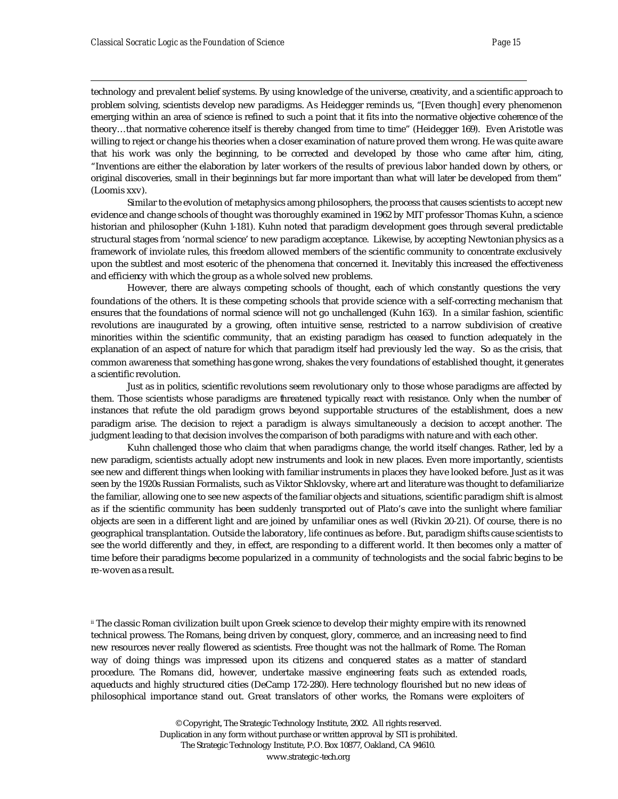technology and prevalent belief systems. By using knowledge of the universe, creativity, and a scientific approach to problem solving, scientists develop new paradigms. As Heidegger reminds us, "[Even though] every phenomenon emerging within an area of science is refined to such a point that it fits into the normative objective coherence of the theory…that normative coherence itself is thereby changed from time to time" (Heidegger 169). Even Aristotle was willing to reject or change his theories when a closer examination of nature proved them wrong. He was quite aware that his work was only the beginning, to be corrected and developed by those who came after him, citing, "Inventions are either the elaboration by later workers of the results of previous labor handed down by others, or original discoveries, small in their beginnings but far more important than what will later be developed from them" (Loomis xxv).

Similar to the evolution of metaphysics among philosophers, the process that causes scientists to accept new evidence and change schools of thought was thoroughly examined in 1962 by MIT professor Thomas Kuhn, a science historian and philosopher (Kuhn 1-181). Kuhn noted that paradigm development goes through several predictable structural stages from 'normal science' to new paradigm acceptance. Likewise, by accepting Newtonian physics as a framework of inviolate rules, this freedom allowed members of the scientific community to concentrate exclusively upon the subtlest and most esoteric of the phenomena that concerned it. Inevitably this increased the effectiveness and efficiency with which the group as a whole solved new problems.

However, there are always competing schools of thought, each of which constantly questions the very foundations of the others. It is these competing schools that provide science with a self-correcting mechanism that ensures that the foundations of normal science will not go unchallenged (Kuhn 163). In a similar fashion, scientific revolutions are inaugurated by a growing, often intuitive sense, restricted to a narrow subdivision of creative minorities within the scientific community, that an existing paradigm has ceased to function adequately in the explanation of an aspect of nature for which that paradigm itself had previously led the way. So as the crisis, that common awareness that something has gone wrong, shakes the very foundations of established thought, it generates a scientific revolution.

Just as in politics, scientific revolutions seem revolutionary only to those whose paradigms are affected by them. Those scientists whose paradigms are threatened typically react with resistance. Only when the number of instances that refute the old paradigm grows beyond supportable structures of the establishment, does a new paradigm arise. The decision to reject a paradigm is always simultaneously a decision to accept another. The judgment leading to that decision involves the comparison of both paradigms with nature and with each other.

Kuhn challenged those who claim that when paradigms change, the world itself changes. Rather, led by a new paradigm, scientists actually adopt new instruments and look in new places. Even more importantly, scientists see new and different things when looking with familiar instruments in places they have looked before. Just as it was seen by the 1920s Russian Formalists, such as Viktor Shklovsky, where art and literature was thought to defamiliarize the familiar, allowing one to see new aspects of the familiar objects and situations, scientific paradigm shift is almost as if the scientific community has been suddenly transported out of Plato's cave into the sunlight where familiar objects are seen in a different light and are joined by unfamiliar ones as well (Rivkin 20-21). Of course, there is no geographical transplantation. Outside the laboratory, life continues as before . But, paradigm shifts cause scientists to see the world differently and they, in effect, are responding to a different world. It then becomes only a matter of time before their paradigms become popularized in a community of technologists and the social fabric begins to be re-woven as a result.

ii The classic Roman civilization built upon Greek science to develop their mighty empire with its renowned technical prowess. The Romans, being driven by conquest, glory, commerce, and an increasing need to find new resources never really flowered as scientists. Free thought was not the hallmark of Rome. The Roman way of doing things was impressed upon its citizens and conquered states as a matter of standard procedure. The Romans did, however, undertake massive engineering feats such as extended roads, aqueducts and highly structured cities (DeCamp 172-280). Here technology flourished but no new ideas of philosophical importance stand out. Great translators of other works, the Romans were exploiters of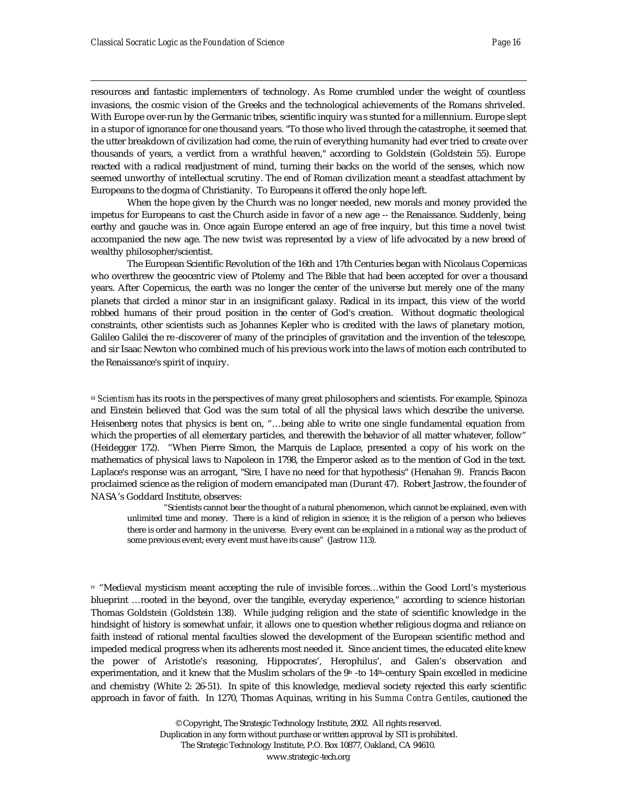resources and fantastic implementers of technology. As Rome crumbled under the weight of countless invasions, the cosmic vision of the Greeks and the technological achievements of the Romans shriveled. With Europe over-run by the Germanic tribes, scientific inquiry wa s stunted for a millennium. Europe slept in a stupor of ignorance for one thousand years. "To those who lived through the catastrophe, it seemed that the utter breakdown of civilization had come, the ruin of everything humanity had ever tried to create over thousands of years, a verdict from a wrathful heaven," according to Goldstein (Goldstein 55). Europe reacted with a radical readjustment of mind, turning their backs on the world of the senses, which now seemed unworthy of intellectual scrutiny. The end of Roman civilization meant a steadfast attachment by Europeans to the dogma of Christianity. To Europeans it offered the only hope left.

When the hope given by the Church was no longer needed, new morals and money provided the impetus for Europeans to cast the Church aside in favor of a new age -- the Renaissance. Suddenly, being earthy and gauche was in. Once again Europe entered an age of free inquiry, but this time a novel twist accompanied the new age. The new twist was represented by a view of life advocated by a new breed of wealthy philosopher/scientist.

The European Scientific Revolution of the 16th and 17th Centuries began with Nicolaus Copernicas who overthrew the geocentric view of Ptolemy and The Bible that had been accepted for over a thousand years. After Copernicus, the earth was no longer the center of the universe but merely one of the many planets that circled a minor star in an insignificant galaxy. Radical in its impact, this view of the world robbed humans of their proud position in the center of God's creation. Without dogmatic theological constraints, other scientists such as Johannes Kepler who is credited with the laws of planetary motion, Galileo Galilei the re -discoverer of many of the principles of gravitation and the invention of the telescope, and sir Isaac Newton who combined much of his previous work into the laws of motion each contributed to the Renaissance's spirit of inquiry.

**iii** *Scientism* has its roots in the perspectives of many great philosophers and scientists. For example, Spinoza and Einstein believed that God was the sum total of all the physical laws which describe the universe. Heisenberg notes that physics is bent on, "…being able to write one single fundamental equation from which the properties of all elementary particles, and therewith the behavior of all matter whatever, follow" (Heidegger 172). "When Pierre Simon, the Marquis de Laplace, presented a copy of his work on the mathematics of physical laws to Napoleon in 1798, the Emperor asked as to the mention of God in the text. Laplace's response was an arrogant, "Sire, I have no need for that hypothesis" (Henahan 9). Francis Bacon proclaimed science as the religion of modern emancipated man (Durant 47). Robert Jastrow, the founder of NASA's Goddard Institute, observes:

"Scientists cannot bear the thought of a natural phenomenon, which cannot be explained, even with unlimited time and money. There is a kind of religion in science; it is the religion of a person who believes there is order and harmony in the universe. Every event can be explained in a rational way as the product of some previous event; every event must have its cause" (Jastrow 113).

iv "Medieval mysticism meant accepting the rule of invisible forces…within the Good Lord's mysterious blueprint …rooted in the beyond, over the tangible, everyday experience," according to science historian Thomas Goldstein (Goldstein 138). While judging religion and the state of scientific knowledge in the hindsight of history is somewhat unfair, it allows one to question whether religious dogma and reliance on faith instead of rational mental faculties slowed the development of the European scientific method and impeded medical progress when its adherents most needed it. Since ancient times, the educated elite knew the power of Aristotle's reasoning, Hippocrates', Herophilus', and Galen's observation and experimentation, and it knew that the Muslim scholars of the  $9<sup>th</sup>$  -to  $14<sup>th</sup>$ -century Spain excelled in medicine and chemistry (White 2: 26-51). In spite of this knowledge, medieval society rejected this early scientific approach in favor of faith. In 1270, Thomas Aquinas, writing in his *Summa Contra Gentiles*, cautioned the